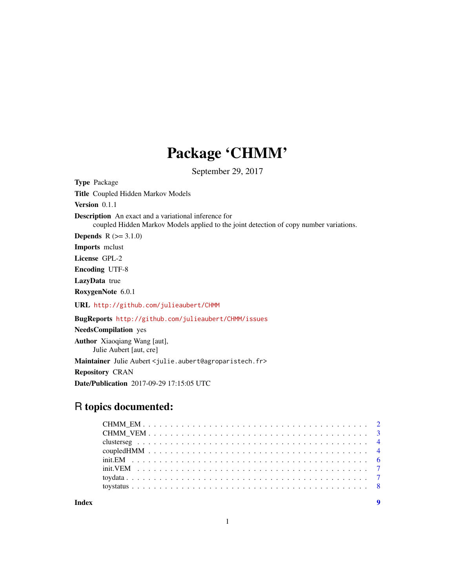## Package 'CHMM'

September 29, 2017

Type Package Title Coupled Hidden Markov Models

Version 0.1.1

Description An exact and a variational inference for

coupled Hidden Markov Models applied to the joint detection of copy number variations.

**Depends**  $R (= 3.1.0)$ 

Imports mclust

License GPL-2

Encoding UTF-8

LazyData true

RoxygenNote 6.0.1

URL <http://github.com/julieaubert/CHMM>

BugReports <http://github.com/julieaubert/CHMM/issues>

NeedsCompilation yes

Author Xiaoqiang Wang [aut], Julie Aubert [aut, cre] Maintainer Julie Aubert <julie.aubert@agroparistech.fr>

Repository CRAN

Date/Publication 2017-09-29 17:15:05 UTC

## R topics documented:

**Index** [9](#page-8-0)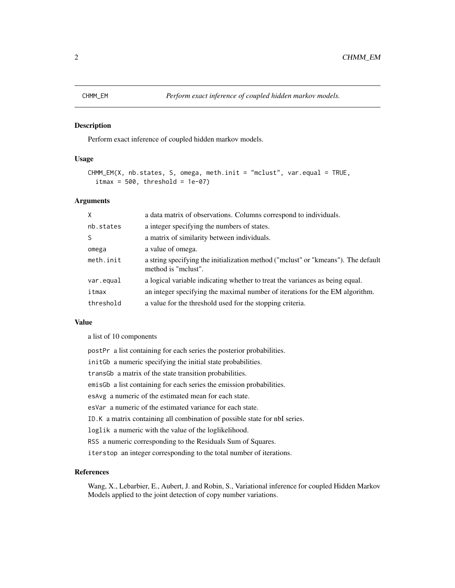<span id="page-1-1"></span><span id="page-1-0"></span>Perform exact inference of coupled hidden markov models.

#### Usage

```
CHMM_EM(X, nb.states, S, omega, meth.init = "mclust", var.equal = TRUE,
  itmax = 500, threshold = 1e-07)
```
### Arguments

| $\times$  | a data matrix of observations. Columns correspond to individuals.                                        |
|-----------|----------------------------------------------------------------------------------------------------------|
| nb.states | a integer specifying the numbers of states.                                                              |
| S         | a matrix of similarity between individuals.                                                              |
| omega     | a value of omega.                                                                                        |
| meth.init | a string specifying the initialization method ("molust" or "kmeans"). The default<br>method is "melust". |
| var.equal | a logical variable indicating whether to treat the variances as being equal.                             |
| itmax     | an integer specifying the maximal number of iterations for the EM algorithm.                             |
| threshold | a value for the threshold used for the stopping criteria.                                                |

#### Value

a list of 10 components

| postPr a list containing for each series the posterior probabilities.       |
|-----------------------------------------------------------------------------|
| init Gb a numeric specifying the initial state probabilities.               |
| trans G a matrix of the state transition probabilities.                     |
| emis Gb a list containing for each series the emission probabilities.       |
| esAvg a numeric of the estimated mean for each state.                       |
| esVar a numeric of the estimated variance for each state.                   |
| ID. K a matrix containing all combination of possible state for nbI series. |
| loglik a numeric with the value of the loglikelihood.                       |
| RSS a numeric corresponding to the Residuals Sum of Squares.                |
| iterstop an integer corresponding to the total number of iterations.        |

#### References

Wang, X., Lebarbier, E., Aubert, J. and Robin, S., Variational inference for coupled Hidden Markov Models applied to the joint detection of copy number variations.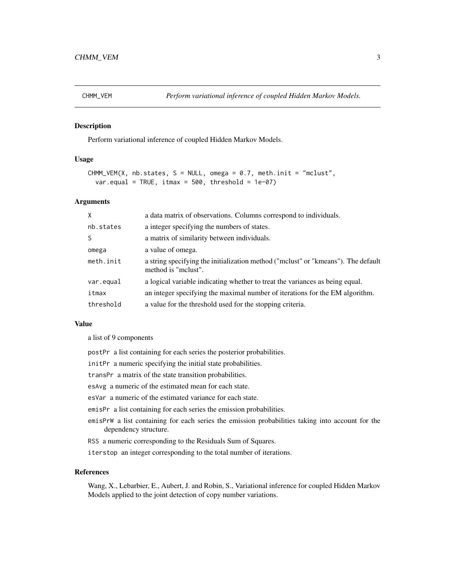<span id="page-2-1"></span><span id="page-2-0"></span>

Perform variational inference of coupled Hidden Markov Models.

#### Usage

```
CHMM_VEM(X, nb.states, S = NULL, omega = 0.7, meth.init = "mclust",
  var.equal = TRUE, itmax = 500, threshold = 1e-07)
```
#### Arguments

| $\mathsf{X}$ | a data matrix of observations. Columns correspond to individuals.                                        |
|--------------|----------------------------------------------------------------------------------------------------------|
| nb.states    | a integer specifying the numbers of states.                                                              |
| S            | a matrix of similarity between individuals.                                                              |
| omega        | a value of omega.                                                                                        |
| meth.init    | a string specifying the initialization method ("mclust" or "kmeans"). The default<br>method is "melust". |
| var.equal    | a logical variable indicating whether to treat the variances as being equal.                             |
| itmax        | an integer specifying the maximal number of iterations for the EM algorithm.                             |
| threshold    | a value for the threshold used for the stopping criteria.                                                |

#### Value

a list of 9 components

- postPr a list containing for each series the posterior probabilities.
- initPr a numeric specifying the initial state probabilities.
- transPr a matrix of the state transition probabilities.
- esAvg a numeric of the estimated mean for each state.
- esVar a numeric of the estimated variance for each state.
- emisPr a list containing for each series the emission probabilities.
- emisPrW a list containing for each series the emission probabilities taking into account for the dependency structure.
- RSS a numeric corresponding to the Residuals Sum of Squares.
- iterstop an integer corresponding to the total number of iterations.

#### References

Wang, X., Lebarbier, E., Aubert, J. and Robin, S., Variational inference for coupled Hidden Markov Models applied to the joint detection of copy number variations.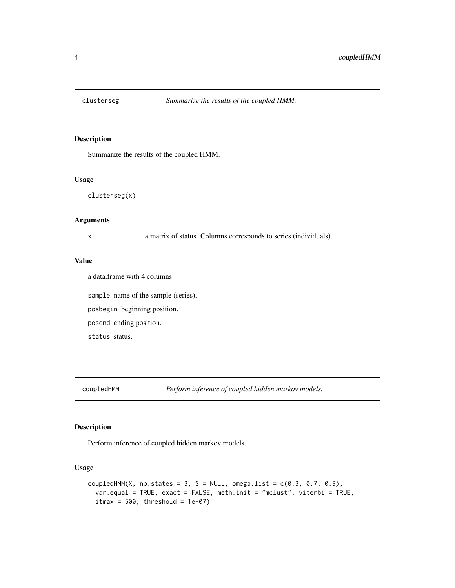<span id="page-3-0"></span>

Summarize the results of the coupled HMM.

#### Usage

clusterseg(x)

#### Arguments

x a matrix of status. Columns corresponds to series (individuals).

#### Value

a data.frame with 4 columns

sample name of the sample (series). posbegin beginning position. posend ending position. status status.

```
coupledHMM Perform inference of coupled hidden markov models.
```
#### Description

Perform inference of coupled hidden markov models.

#### Usage

```
coupledHMM(X, nb.states = 3, S = NULL, omega.list = c(0.3, 0.7, 0.9),
  var.equal = TRUE, exact = FALSE, meth.init = "mclust", viterbi = TRUE,
  itmax = 500, threshold = 1e-07)
```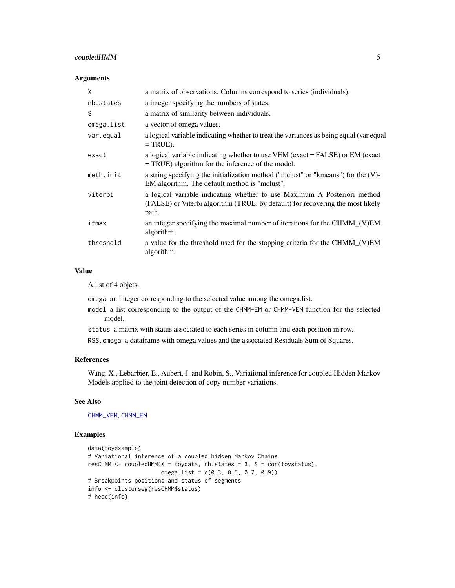#### <span id="page-4-0"></span>coupledHMM 5

#### Arguments

| X          | a matrix of observations. Columns correspond to series (individuals).                                                                                               |
|------------|---------------------------------------------------------------------------------------------------------------------------------------------------------------------|
| nb.states  | a integer specifying the numbers of states.                                                                                                                         |
| S          | a matrix of similarity between individuals.                                                                                                                         |
| omega.list | a vector of omega values.                                                                                                                                           |
| var.equal  | a logical variable indicating whether to treat the variances as being equal (var.equal)<br>$=$ TRUE).                                                               |
| exact      | a logical variable indicating whether to use VEM (exact = FALSE) or EM (exact<br>$= TRUE$ ) algorithm for the inference of the model.                               |
| meth.init  | a string specifying the initialization method ("mclust" or "kmeans") for the (V)-<br>EM algorithm. The default method is "mclust".                                  |
| viterbi    | a logical variable indicating whether to use Maximum A Posteriori method<br>(FALSE) or Viterbi algorithm (TRUE, by default) for recovering the most likely<br>path. |
| itmax      | an integer specifying the maximal number of iterations for the CHMM_(V)EM<br>algorithm.                                                                             |
| threshold  | a value for the threshold used for the stopping criteria for the CHMM_(V)EM<br>algorithm.                                                                           |

#### Value

A list of 4 objets.

omega an integer corresponding to the selected value among the omega.list.

- model a list corresponding to the output of the CHMM-EM or CHMM-VEM function for the selected model.
- status a matrix with status associated to each series in column and each position in row.

RSS.omega a dataframe with omega values and the associated Residuals Sum of Squares.

#### References

Wang, X., Lebarbier, E., Aubert, J. and Robin, S., Variational inference for coupled Hidden Markov Models applied to the joint detection of copy number variations.

#### See Also

[CHMM\\_VEM](#page-2-1), [CHMM\\_EM](#page-1-1)

#### Examples

```
data(toyexample)
# Variational inference of a coupled hidden Markov Chains
resCHMM <- coupledHMM(X = toydata, nb.states = 3, S = cor(toystatus),
                     omega.list = c(0.3, 0.5, 0.7, 0.9))
# Breakpoints positions and status of segments
info <- clusterseg(resCHMM$status)
# head(info)
```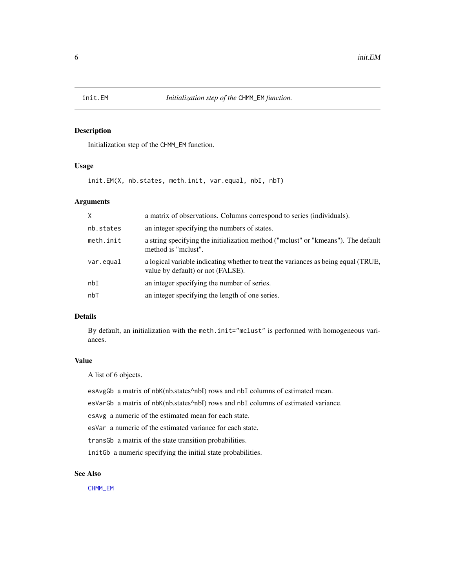<span id="page-5-0"></span>

Initialization step of the CHMM\_EM function.

#### Usage

init.EM(X, nb.states, meth.init, var.equal, nbI, nbT)

#### Arguments

| X         | a matrix of observations. Columns correspond to series (individuals).                                                   |
|-----------|-------------------------------------------------------------------------------------------------------------------------|
| nb.states | an integer specifying the numbers of states.                                                                            |
| meth.init | a string specifying the initialization method ("mclust" or "kmeans"). The default<br>method is "melust".                |
| var.equal | a logical variable indicating whether to treat the variances as being equal (TRUE,<br>value by default) or not (FALSE). |
| nbI       | an integer specifying the number of series.                                                                             |
| nbT       | an integer specifying the length of one series.                                                                         |

#### Details

By default, an initialization with the meth.init="mclust" is performed with homogeneous variances.

#### Value

A list of 6 objects.

esAvgGb a matrix of nbK(nb.states^nbI) rows and nbI columns of estimated mean.

esVarGb a matrix of nbK(nb.states^nbI) rows and nbI columns of estimated variance.

esAvg a numeric of the estimated mean for each state.

esVar a numeric of the estimated variance for each state.

transGb a matrix of the state transition probabilities.

initGb a numeric specifying the initial state probabilities.

#### See Also

[CHMM\\_EM](#page-1-1)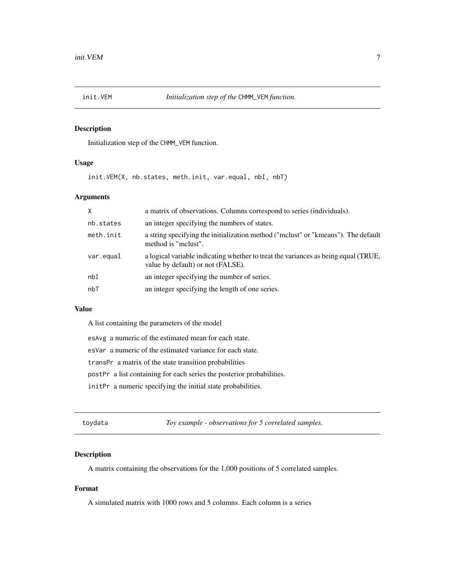<span id="page-6-0"></span>

Initialization step of the CHMM\_VEM function.

#### Usage

init.VEM(X, nb.states, meth.init, var.equal, nbI, nbT)

#### Arguments

| $\mathsf{x}$ | a matrix of observations. Columns correspond to series (individuals).                                                   |
|--------------|-------------------------------------------------------------------------------------------------------------------------|
| nb.states    | an integer specifying the numbers of states.                                                                            |
| meth.init    | a string specifying the initialization method ("mclust" or "kmeans"). The default<br>method is "melust".                |
| var.equal    | a logical variable indicating whether to treat the variances as being equal (TRUE,<br>value by default) or not (FALSE). |
| nbI          | an integer specifying the number of series.                                                                             |
| nbT          | an integer specifying the length of one series.                                                                         |
|              |                                                                                                                         |

#### Value

A list containing the parameters of the model

esAvg a numeric of the estimated mean for each state.

esVar a numeric of the estimated variance for each state.

transPr a matrix of the state transition probabilities

postPr a list containing for each series the posterior probabilities.

initPr a numeric specifying the initial state probabilities.

toydata *Toy example - observations for 5 correlated samples.*

#### Description

A matrix containing the observations for the 1,000 positions of 5 correlated samples.

#### Format

A simulated matrix with 1000 rows and 5 columns. Each column is a series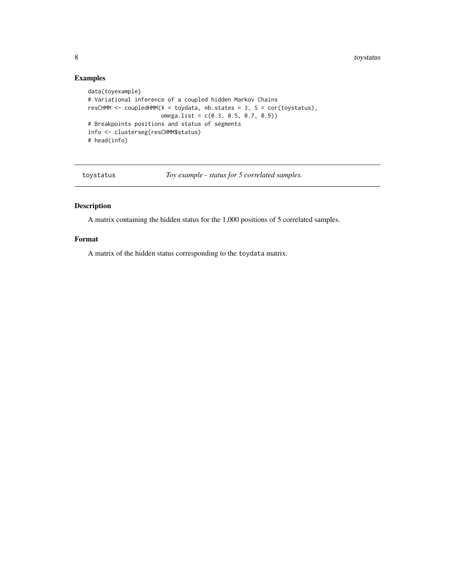8 toystatus and the set of the set of the set of the set of the set of the set of the set of the set of the set of the set of the set of the set of the set of the set of the set of the set of the set of the set of the set

#### Examples

```
data(toyexample)
# Variational inference of a coupled hidden Markov Chains
resCHMM \leq coupledHMM(X = toydata, nb.states = 3, S = cor(toystatus),
                     omega.list = c(0.3, 0.5, 0.7, 0.9))
# Breakpoints positions and status of segments
info <- clusterseg(resCHMM$status)
# head(info)
```
toystatus *Toy example - status for 5 correlated samples.*

#### Description

A matrix containing the hidden status for the 1,000 positions of 5 correlated samples.

#### Format

A matrix of the hidden status corresponding to the toydata matrix.

<span id="page-7-0"></span>